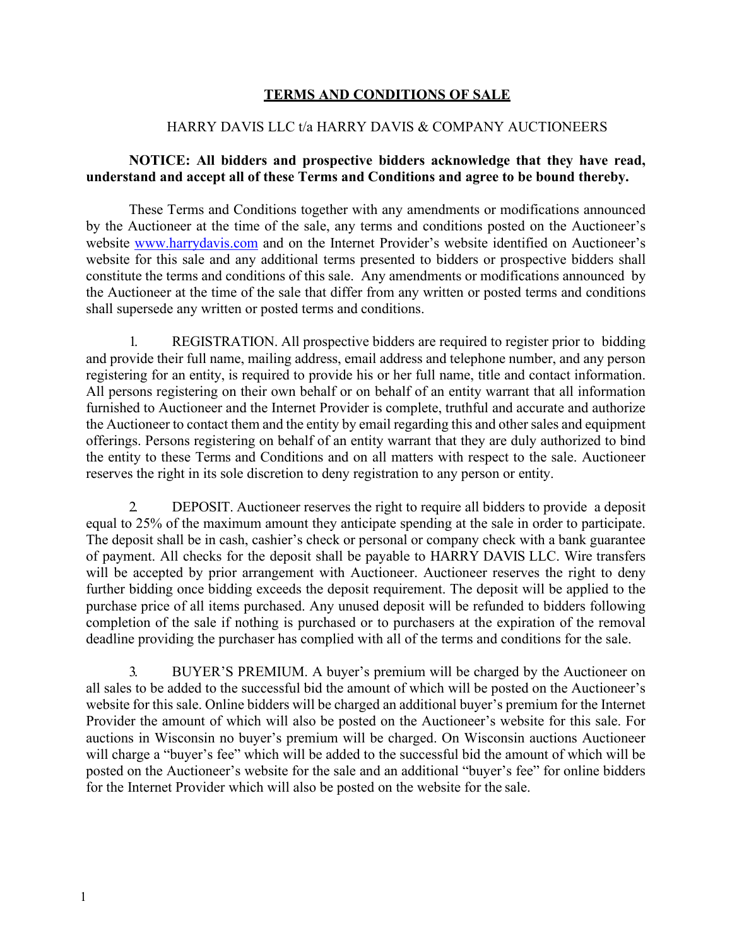## **TERMS AND CONDITIONS OF SALE**

## HARRY DAVIS LLC t/a HARRY DAVIS & COMPANY AUCTIONEERS

## **NOTICE: All bidders and prospective bidders acknowledge that they have read, understand and accept all of these Terms and Conditions and agree to be bound thereby.**

These Terms and Conditions together with any amendments or modifications announced by the Auctioneer at the time of the sale, any terms and conditions posted on the Auctioneer's website [www.harrydavis.com a](http://www.harrydavis.com/)nd on the Internet Provider's website identified on Auctioneer's website for this sale and any additional terms presented to bidders or prospective bidders shall constitute the terms and conditions of this sale. Any amendments or modifications announced by the Auctioneer at the time of the sale that differ from any written or posted terms and conditions shall supersede any written or posted terms and conditions.

1. REGISTRATION. All prospective bidders are required to register prior to bidding and provide their full name, mailing address, email address and telephone number, and any person registering for an entity, is required to provide his or her full name, title and contact information. All persons registering on their own behalf or on behalf of an entity warrant that all information furnished to Auctioneer and the Internet Provider is complete, truthful and accurate and authorize the Auctioneer to contact them and the entity by email regarding this and other sales and equipment offerings. Persons registering on behalf of an entity warrant that they are duly authorized to bind the entity to these Terms and Conditions and on all matters with respect to the sale. Auctioneer reserves the right in its sole discretion to deny registration to any person or entity.

2. DEPOSIT. Auctioneer reserves the right to require all bidders to provide a deposit equal to 25% of the maximum amount they anticipate spending at the sale in order to participate. The deposit shall be in cash, cashier's check or personal or company check with a bank guarantee of payment. All checks for the deposit shall be payable to HARRY DAVIS LLC. Wire transfers will be accepted by prior arrangement with Auctioneer. Auctioneer reserves the right to deny further bidding once bidding exceeds the deposit requirement. The deposit will be applied to the purchase price of all items purchased. Any unused deposit will be refunded to bidders following completion of the sale if nothing is purchased or to purchasers at the expiration of the removal deadline providing the purchaser has complied with all of the terms and conditions for the sale.

3. BUYER'S PREMIUM. A buyer's premium will be charged by the Auctioneer on all sales to be added to the successful bid the amount of which will be posted on the Auctioneer's website for this sale. Online bidders will be charged an additional buyer's premium for the Internet Provider the amount of which will also be posted on the Auctioneer's website for this sale. For auctions in Wisconsin no buyer's premium will be charged. On Wisconsin auctions Auctioneer will charge a "buyer's fee" which will be added to the successful bid the amount of which will be posted on the Auctioneer's website for the sale and an additional "buyer's fee" for online bidders for the Internet Provider which will also be posted on the website for the sale.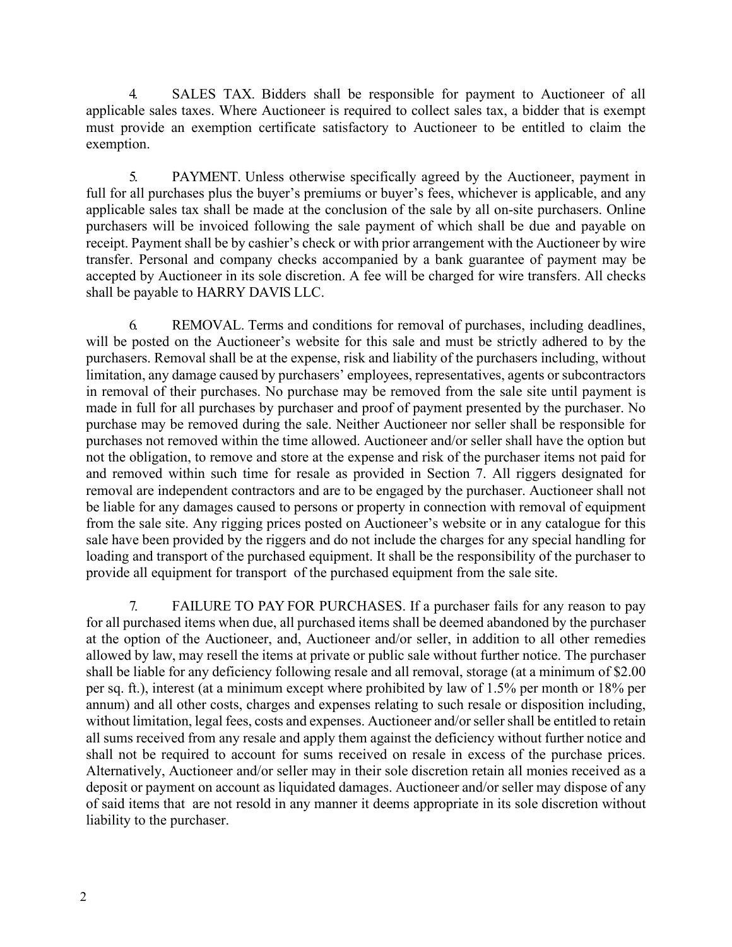4. SALES TAX. Bidders shall be responsible for payment to Auctioneer of all applicable sales taxes. Where Auctioneer is required to collect sales tax, a bidder that is exempt must provide an exemption certificate satisfactory to Auctioneer to be entitled to claim the exemption.

5. PAYMENT. Unless otherwise specifically agreed by the Auctioneer, payment in full for all purchases plus the buyer's premiums or buyer's fees, whichever is applicable, and any applicable sales tax shall be made at the conclusion of the sale by all on-site purchasers. Online purchasers will be invoiced following the sale payment of which shall be due and payable on receipt. Payment shall be by cashier's check or with prior arrangement with the Auctioneer by wire transfer. Personal and company checks accompanied by a bank guarantee of payment may be accepted by Auctioneer in its sole discretion. A fee will be charged for wire transfers. All checks shall be payable to HARRY DAVIS LLC.

6. REMOVAL. Terms and conditions for removal of purchases, including deadlines, will be posted on the Auctioneer's website for this sale and must be strictly adhered to by the purchasers. Removal shall be at the expense, risk and liability of the purchasers including, without limitation, any damage caused by purchasers' employees, representatives, agents or subcontractors in removal of their purchases. No purchase may be removed from the sale site until payment is made in full for all purchases by purchaser and proof of payment presented by the purchaser. No purchase may be removed during the sale. Neither Auctioneer nor seller shall be responsible for purchases not removed within the time allowed. Auctioneer and/or seller shall have the option but not the obligation, to remove and store at the expense and risk of the purchaser items not paid for and removed within such time for resale as provided in Section 7. All riggers designated for removal are independent contractors and are to be engaged by the purchaser. Auctioneer shall not be liable for any damages caused to persons or property in connection with removal of equipment from the sale site. Any rigging prices posted on Auctioneer's website or in any catalogue for this sale have been provided by the riggers and do not include the charges for any special handling for loading and transport of the purchased equipment. It shall be the responsibility of the purchaser to provide all equipment for transport of the purchased equipment from the sale site.

7. FAILURE TO PAY FOR PURCHASES. If a purchaser fails for any reason to pay for all purchased items when due, all purchased items shall be deemed abandoned by the purchaser at the option of the Auctioneer, and, Auctioneer and/or seller, in addition to all other remedies allowed by law, may resell the items at private or public sale without further notice. The purchaser shall be liable for any deficiency following resale and all removal, storage (at a minimum of \$2.00 per sq. ft.), interest (at a minimum except where prohibited by law of 1.5% per month or 18% per annum) and all other costs, charges and expenses relating to such resale or disposition including, without limitation, legal fees, costs and expenses. Auctioneer and/or seller shall be entitled to retain all sums received from any resale and apply them against the deficiency without further notice and shall not be required to account for sums received on resale in excess of the purchase prices. Alternatively, Auctioneer and/or seller may in their sole discretion retain all monies received as a deposit or payment on account as liquidated damages. Auctioneer and/or seller may dispose of any of said items that are not resold in any manner it deems appropriate in its sole discretion without liability to the purchaser.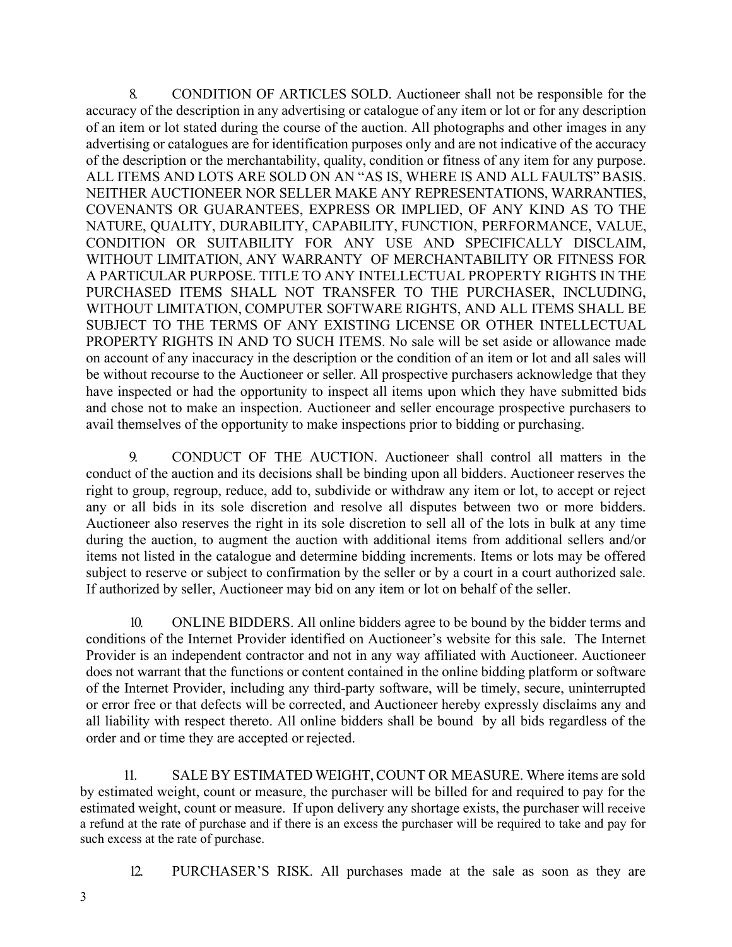8. CONDITION OF ARTICLES SOLD. Auctioneer shall not be responsible for the accuracy of the description in any advertising or catalogue of any item or lot or for any description of an item or lot stated during the course of the auction. All photographs and other images in any advertising or catalogues are for identification purposes only and are not indicative of the accuracy of the description or the merchantability, quality, condition or fitness of any item for any purpose. ALL ITEMS AND LOTS ARE SOLD ON AN "AS IS, WHERE IS AND ALL FAULTS" BASIS. NEITHER AUCTIONEER NOR SELLER MAKE ANY REPRESENTATIONS, WARRANTIES, COVENANTS OR GUARANTEES, EXPRESS OR IMPLIED, OF ANY KIND AS TO THE NATURE, QUALITY, DURABILITY, CAPABILITY, FUNCTION, PERFORMANCE, VALUE, CONDITION OR SUITABILITY FOR ANY USE AND SPECIFICALLY DISCLAIM, WITHOUT LIMITATION, ANY WARRANTY OF MERCHANTABILITY OR FITNESS FOR A PARTICULAR PURPOSE. TITLE TO ANY INTELLECTUAL PROPERTY RIGHTS IN THE PURCHASED ITEMS SHALL NOT TRANSFER TO THE PURCHASER, INCLUDING, WITHOUT LIMITATION, COMPUTER SOFTWARE RIGHTS, AND ALL ITEMS SHALL BE SUBJECT TO THE TERMS OF ANY EXISTING LICENSE OR OTHER INTELLECTUAL PROPERTY RIGHTS IN AND TO SUCH ITEMS. No sale will be set aside or allowance made on account of any inaccuracy in the description or the condition of an item or lot and all sales will be without recourse to the Auctioneer or seller. All prospective purchasers acknowledge that they have inspected or had the opportunity to inspect all items upon which they have submitted bids and chose not to make an inspection. Auctioneer and seller encourage prospective purchasers to avail themselves of the opportunity to make inspections prior to bidding or purchasing.

9. CONDUCT OF THE AUCTION. Auctioneer shall control all matters in the conduct of the auction and its decisions shall be binding upon all bidders. Auctioneer reserves the right to group, regroup, reduce, add to, subdivide or withdraw any item or lot, to accept or reject any or all bids in its sole discretion and resolve all disputes between two or more bidders. Auctioneer also reserves the right in its sole discretion to sell all of the lots in bulk at any time during the auction, to augment the auction with additional items from additional sellers and/or items not listed in the catalogue and determine bidding increments. Items or lots may be offered subject to reserve or subject to confirmation by the seller or by a court in a court authorized sale. If authorized by seller, Auctioneer may bid on any item or lot on behalf of the seller.

10. ONLINE BIDDERS. All online bidders agree to be bound by the bidder terms and conditions of the Internet Provider identified on Auctioneer's website for this sale. The Internet Provider is an independent contractor and not in any way affiliated with Auctioneer. Auctioneer does not warrant that the functions or content contained in the online bidding platform or software of the Internet Provider, including any third-party software, will be timely, secure, uninterrupted or error free or that defects will be corrected, and Auctioneer hereby expressly disclaims any and all liability with respect thereto. All online bidders shall be bound by all bids regardless of the order and or time they are accepted or rejected.

11. SALE BY ESTIMATED WEIGHT, COUNT OR MEASURE. Where items are sold by estimated weight, count or measure, the purchaser will be billed for and required to pay for the estimated weight, count or measure. If upon delivery any shortage exists, the purchaser will receive a refund at the rate of purchase and if there is an excess the purchaser will be required to take and pay for such excess at the rate of purchase.

12. PURCHASER'S RISK. All purchases made at the sale as soon as they are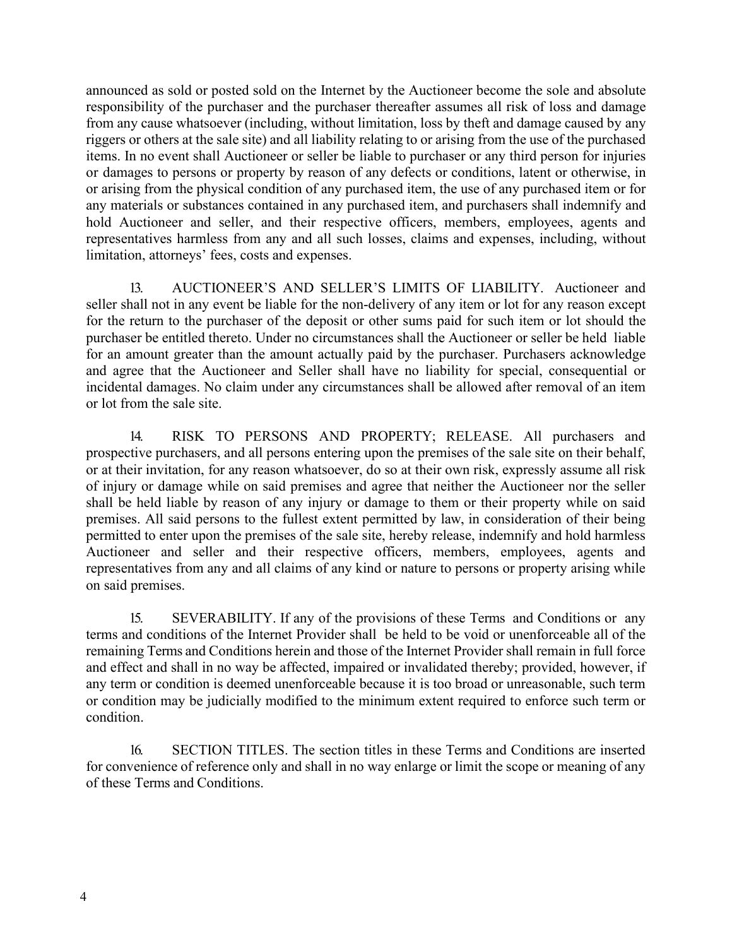announced as sold or posted sold on the Internet by the Auctioneer become the sole and absolute responsibility of the purchaser and the purchaser thereafter assumes all risk of loss and damage from any cause whatsoever (including, without limitation, loss by theft and damage caused by any riggers or others at the sale site) and all liability relating to or arising from the use of the purchased items. In no event shall Auctioneer or seller be liable to purchaser or any third person for injuries or damages to persons or property by reason of any defects or conditions, latent or otherwise, in or arising from the physical condition of any purchased item, the use of any purchased item or for any materials or substances contained in any purchased item, and purchasers shall indemnify and hold Auctioneer and seller, and their respective officers, members, employees, agents and representatives harmless from any and all such losses, claims and expenses, including, without limitation, attorneys' fees, costs and expenses.

13. AUCTIONEER'S AND SELLER'S LIMITS OF LIABILITY. Auctioneer and seller shall not in any event be liable for the non-delivery of any item or lot for any reason except for the return to the purchaser of the deposit or other sums paid for such item or lot should the purchaser be entitled thereto. Under no circumstances shall the Auctioneer or seller be held liable for an amount greater than the amount actually paid by the purchaser. Purchasers acknowledge and agree that the Auctioneer and Seller shall have no liability for special, consequential or incidental damages. No claim under any circumstances shall be allowed after removal of an item or lot from the sale site.

14. RISK TO PERSONS AND PROPERTY; RELEASE. All purchasers and prospective purchasers, and all persons entering upon the premises of the sale site on their behalf, or at their invitation, for any reason whatsoever, do so at their own risk, expressly assume all risk of injury or damage while on said premises and agree that neither the Auctioneer nor the seller shall be held liable by reason of any injury or damage to them or their property while on said premises. All said persons to the fullest extent permitted by law, in consideration of their being permitted to enter upon the premises of the sale site, hereby release, indemnify and hold harmless Auctioneer and seller and their respective officers, members, employees, agents and representatives from any and all claims of any kind or nature to persons or property arising while on said premises.

15. SEVERABILITY. If any of the provisions of these Terms and Conditions or any terms and conditions of the Internet Provider shall be held to be void or unenforceable all of the remaining Terms and Conditions herein and those of the Internet Provider shall remain in full force and effect and shall in no way be affected, impaired or invalidated thereby; provided, however, if any term or condition is deemed unenforceable because it is too broad or unreasonable, such term or condition may be judicially modified to the minimum extent required to enforce such term or condition.

16. SECTION TITLES. The section titles in these Terms and Conditions are inserted for convenience of reference only and shall in no way enlarge or limit the scope or meaning of any of these Terms and Conditions.